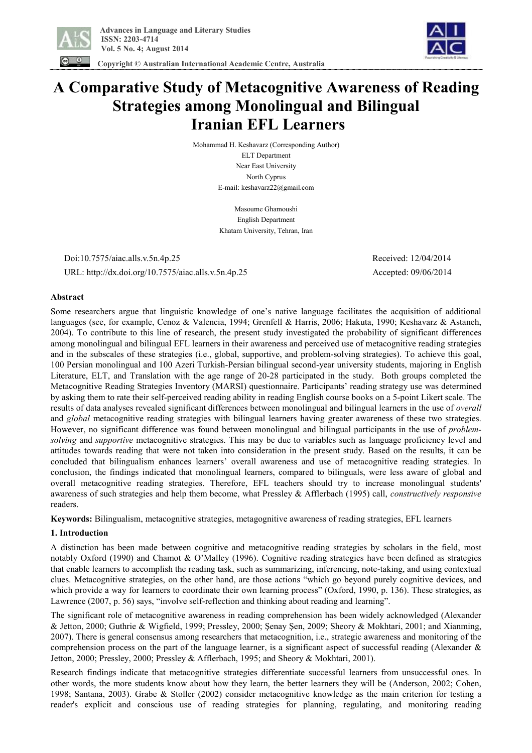

 **Copyright © Australian International Academic Centre, Australia** 



**A Comparative Study of Metacognitive Awareness of Reading Strategies among Monolingual and Bilingual** 

# **Iranian EFL Learners**

Mohammad H. Keshavarz (Corresponding Author) ELT Department Near East University North Cyprus E-mail: keshavarz22@gmail.com

> Masoume Ghamoushi English Department Khatam University, Tehran, Iran

 Doi:10.7575/aiac.alls.v.5n.4p.25 Received: 12/04/2014 URL: http://dx.doi.org/10.7575/aiac.alls.v.5n.4p.25 Accepted: 09/06/2014

# **Abstract**

Some researchers argue that linguistic knowledge of one's native language facilitates the acquisition of additional languages (see, for example, Cenoz & Valencia, 1994; Grenfell & Harris, 2006; Hakuta, 1990; Keshavarz & Astaneh, 2004). To contribute to this line of research, the present study investigated the probability of significant differences among monolingual and bilingual EFL learners in their awareness and perceived use of metacognitive reading strategies and in the subscales of these strategies (i.e., global, supportive, and problem-solving strategies). To achieve this goal, 100 Persian monolingual and 100 Azeri Turkish-Persian bilingual second-year university students, majoring in English Literature, ELT, and Translation with the age range of 20-28 participated in the study. Both groups completed the Metacognitive Reading Strategies Inventory (MARSI) questionnaire. Participants' reading strategy use was determined by asking them to rate their self-perceived reading ability in reading English course books on a 5-point Likert scale. The results of data analyses revealed significant differences between monolingual and bilingual learners in the use of *overall* and *global* metacognitive reading strategies with bilingual learners having greater awareness of these two strategies. However, no significant difference was found between monolingual and bilingual participants in the use of *problemsolving* and *supportive* metacognitive strategies. This may be due to variables such as language proficiency level and attitudes towards reading that were not taken into consideration in the present study. Based on the results, it can be concluded that bilingualism enhances learners' overall awareness and use of metacognitive reading strategies. In conclusion, the findings indicated that monolingual learners, compared to bilinguals, were less aware of global and overall metacognitive reading strategies. Therefore, EFL teachers should try to increase monolingual students' awareness of such strategies and help them become, what Pressley & Afflerbach (1995) call, *constructively responsive* readers.

**Keywords:** Bilingualism, metacognitive strategies, metagognitive awareness of reading strategies, EFL learners

# **1. Introduction**

A distinction has been made between cognitive and metacognitive reading strategies by scholars in the field, most notably Oxford (1990) and Chamot & O'Malley (1996). Cognitive reading strategies have been defined as strategies that enable learners to accomplish the reading task, such as summarizing, inferencing, note-taking, and using contextual clues. Metacognitive strategies, on the other hand, are those actions "which go beyond purely cognitive devices, and which provide a way for learners to coordinate their own learning process" (Oxford, 1990, p. 136). These strategies, as Lawrence (2007, p. 56) says, "involve self-reflection and thinking about reading and learning".

The significant role of metacognitive awareness in reading comprehension has been widely acknowledged (Alexander & Jetton, 2000; Guthrie & Wigfield, 1999; Pressley, 2000; Şenay Şen, 2009; Sheory & Mokhtari, 2001; and Xianming, 2007). There is general consensus among researchers that metacognition, i.e., strategic awareness and monitoring of the comprehension process on the part of the language learner, is a significant aspect of successful reading (Alexander & Jetton, 2000; Pressley, 2000; Pressley & Afflerbach, 1995; and Sheory & Mokhtari, 2001).

Research findings indicate that metacognitive strategies differentiate successful learners from unsuccessful ones. In other words, the more students know about how they learn, the better learners they will be (Anderson, 2002; Cohen, 1998; Santana, 2003). Grabe & Stoller (2002) consider metacognitive knowledge as the main criterion for testing a reader's explicit and conscious use of reading strategies for planning, regulating, and monitoring reading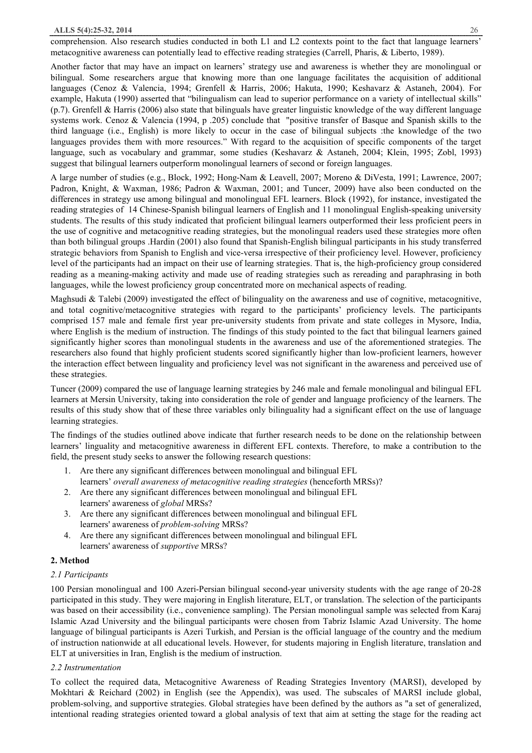#### **ALLS 5(4):25-32, 2014** 26

comprehension. Also research studies conducted in both L1 and L2 contexts point to the fact that language learners' metacognitive awareness can potentially lead to effective reading strategies (Carrell, Pharis, & Liberto, 1989).

Another factor that may have an impact on learners' strategy use and awareness is whether they are monolingual or bilingual. Some researchers argue that knowing more than one language facilitates the acquisition of additional languages (Cenoz & Valencia, 1994; Grenfell & Harris, 2006; Hakuta, 1990; Keshavarz & Astaneh, 2004). For example, Hakuta (1990) asserted that "bilingualism can lead to superior performance on a variety of intellectual skills" (p.7). Grenfell & Harris (2006) also state that bilinguals have greater linguistic knowledge of the way different language systems work. Cenoz & Valencia (1994, p .205) conclude that "positive transfer of Basque and Spanish skills to the third language (i.e., English) is more likely to occur in the case of bilingual subjects :the knowledge of the two languages provides them with more resources." With regard to the acquisition of specific components of the target language, such as vocabulary and grammar, some studies (Keshavarz & Astaneh, 2004; Klein, 1995; Zobl, 1993) suggest that bilingual learners outperform monolingual learners of second or foreign languages.

A large number of studies (e.g., Block, 1992; Hong-Nam & Leavell, 2007; Moreno & DiVesta, 1991; Lawrence, 2007; Padron, Knight, & Waxman, 1986; Padron & Waxman, 2001; and Tuncer, 2009) have also been conducted on the differences in strategy use among bilingual and monolingual EFL learners. Block (1992), for instance, investigated the reading strategies of 14 Chinese-Spanish bilingual learners of English and 11 monolingual English-speaking university students. The results of this study indicated that proficient bilingual learners outperformed their less proficient peers in the use of cognitive and metacognitive reading strategies, but the monolingual readers used these strategies more often than both bilingual groups .Hardin (2001) also found that Spanish-English bilingual participants in his study transferred strategic behaviors from Spanish to English and vice-versa irrespective of their proficiency level. However, proficiency level of the participants had an impact on their use of learning strategies. That is, the high-proficiency group considered reading as a meaning-making activity and made use of reading strategies such as rereading and paraphrasing in both languages, while the lowest proficiency group concentrated more on mechanical aspects of reading.

Maghsudi & Talebi (2009) investigated the effect of bilinguality on the awareness and use of cognitive, metacognitive, and total cognitive/metacognitive strategies with regard to the participants' proficiency levels. The participants comprised 157 male and female first year pre-university students from private and state colleges in Mysore, India, where English is the medium of instruction. The findings of this study pointed to the fact that bilingual learners gained significantly higher scores than monolingual students in the awareness and use of the aforementioned strategies. The researchers also found that highly proficient students scored significantly higher than low-proficient learners, however the interaction effect between linguality and proficiency level was not significant in the awareness and perceived use of these strategies.

Tuncer (2009) compared the use of language learning strategies by 246 male and female monolingual and bilingual EFL learners at Mersin University, taking into consideration the role of gender and language proficiency of the learners. The results of this study show that of these three variables only bilinguality had a significant effect on the use of language learning strategies.

The findings of the studies outlined above indicate that further research needs to be done on the relationship between learners' linguality and metacognitive awareness in different EFL contexts. Therefore, to make a contribution to the field, the present study seeks to answer the following research questions:

- 1. Are there any significant differences between monolingual and bilingual EFL learners' *overall awareness of metacognitive reading strategies* (henceforth MRSs)?
- 2. Are there any significant differences between monolingual and bilingual EFL learners' awareness of *global* MRSs?
- 3. Are there any significant differences between monolingual and bilingual EFL learners' awareness of *problem-solving* MRSs?
- 4. Are there any significant differences between monolingual and bilingual EFL learners' awareness of *supportive* MRSs?

#### **2. Method**

## *2.1 Participants*

100 Persian monolingual and 100 Azeri-Persian bilingual second-year university students with the age range of 20-28 participated in this study. They were majoring in English literature, ELT, or translation. The selection of the participants was based on their accessibility (i.e., convenience sampling). The Persian monolingual sample was selected from Karaj Islamic Azad University and the bilingual participants were chosen from Tabriz Islamic Azad University. The home language of bilingual participants is Azeri Turkish, and Persian is the official language of the country and the medium of instruction nationwide at all educational levels. However, for students majoring in English literature, translation and ELT at universities in Iran, English is the medium of instruction.

#### *2.2 Instrumentation*

To collect the required data, Metacognitive Awareness of Reading Strategies Inventory (MARSI), developed by Mokhtari & Reichard (2002) in English (see the Appendix), was used. The subscales of MARSI include global, problem-solving, and supportive strategies. Global strategies have been defined by the authors as "a set of generalized, intentional reading strategies oriented toward a global analysis of text that aim at setting the stage for the reading act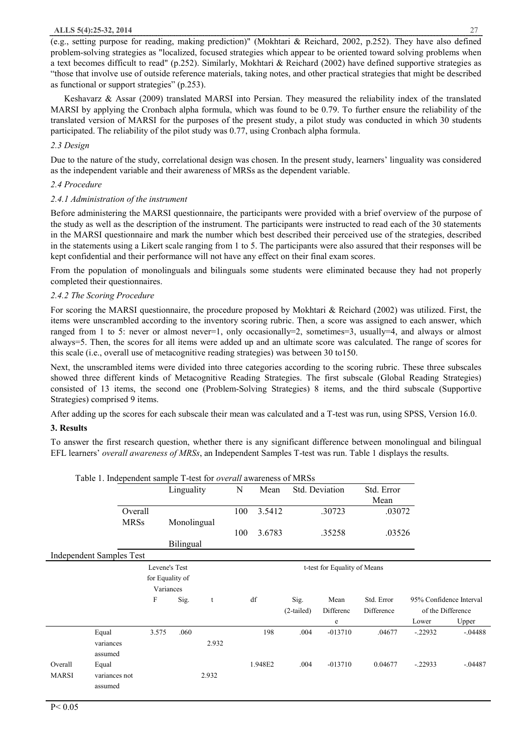#### **ALLS 5(4):25-32, 2014** 27

(e.g., setting purpose for reading, making prediction)" (Mokhtari & Reichard, 2002, p.252). They have also defined problem-solving strategies as "localized, focused strategies which appear to be oriented toward solving problems when a text becomes difficult to read" (p.252). Similarly, Mokhtari & Reichard (2002) have defined supportive strategies as "those that involve use of outside reference materials, taking notes, and other practical strategies that might be described as functional or support strategies" (p.253).

 Keshavarz & Assar (2009) translated MARSI into Persian. They measured the reliability index of the translated MARSI by applying the Cronbach alpha formula, which was found to be 0.79. To further ensure the reliability of the translated version of MARSI for the purposes of the present study, a pilot study was conducted in which 30 students participated. The reliability of the pilot study was 0.77, using Cronbach alpha formula.

# *2.3 Design*

Due to the nature of the study, correlational design was chosen. In the present study, learners' linguality was considered as the independent variable and their awareness of MRSs as the dependent variable.

# *2.4 Procedure*

# *2.4.1 Administration of the instrument*

Before administering the MARSI questionnaire, the participants were provided with a brief overview of the purpose of the study as well as the description of the instrument. The participants were instructed to read each of the 30 statements in the MARSI questionnaire and mark the number which best described their perceived use of the strategies, described in the statements using a Likert scale ranging from 1 to 5. The participants were also assured that their responses will be kept confidential and their performance will not have any effect on their final exam scores.

From the population of monolinguals and bilinguals some students were eliminated because they had not properly completed their questionnaires.

# *2.4.2 The Scoring Procedure*

For scoring the MARSI questionnaire, the procedure proposed by Mokhtari & Reichard (2002) was utilized. First, the items were unscrambled according to the inventory scoring rubric. Then, a score was assigned to each answer, which ranged from 1 to 5: never or almost never=1, only occasionally=2, sometimes=3, usually=4, and always or almost always=5. Then, the scores for all items were added up and an ultimate score was calculated. The range of scores for this scale (i.e., overall use of metacognitive reading strategies) was between 30 to150.

Next, the unscrambled items were divided into three categories according to the scoring rubric. These three subscales showed three different kinds of Metacognitive Reading Strategies. The first subscale (Global Reading Strategies) consisted of 13 items, the second one (Problem-Solving Strategies) 8 items, and the third subscale (Supportive Strategies) comprised 9 items.

After adding up the scores for each subscale their mean was calculated and a T-test was run, using SPSS, Version 16.0.

# **3. Results**

To answer the first research question, whether there is any significant difference between monolingual and bilingual EFL learners' *overall awareness of MRSs*, an Independent Samples T-test was run. Table 1 displays the results.

|              | Table 1. Independent sample T-test for overall awareness of MRSs |                 |             |       |      |         |                              |                              |            |                   |                         |
|--------------|------------------------------------------------------------------|-----------------|-------------|-------|------|---------|------------------------------|------------------------------|------------|-------------------|-------------------------|
|              |                                                                  |                 | Linguality  |       | N    | Mean    |                              | Std. Deviation<br>Std. Error |            |                   |                         |
|              |                                                                  |                 |             |       | Mean |         |                              |                              |            |                   |                         |
|              | Overall<br><b>MRSs</b>                                           |                 | Monolingual |       | 100  | 3.5412  |                              | .30723                       | .03072     |                   |                         |
|              |                                                                  |                 |             |       |      |         |                              |                              |            |                   |                         |
|              |                                                                  |                 |             |       | 100  | 3.6783  |                              | .35258                       | .03526     |                   |                         |
|              |                                                                  |                 | Bilingual   |       |      |         |                              |                              |            |                   |                         |
|              | <b>Independent Samples Test</b>                                  |                 |             |       |      |         |                              |                              |            |                   |                         |
|              |                                                                  | Levene's Test   |             |       |      |         | t-test for Equality of Means |                              |            |                   |                         |
|              |                                                                  | for Equality of |             |       |      |         |                              |                              |            |                   |                         |
|              |                                                                  | Variances       |             |       |      |         |                              |                              |            |                   |                         |
|              |                                                                  | F               | Sig.        | t     |      | df      | Sig.                         | Mean                         | Std. Error |                   | 95% Confidence Interval |
|              |                                                                  |                 |             |       |      |         | $(2-tailed)$                 | Differenc                    | Difference | of the Difference |                         |
|              |                                                                  |                 |             |       |      |         |                              | e                            |            | Lower             | Upper                   |
|              | Equal                                                            | 3.575           | .060        |       |      | 198     | .004                         | $-013710$                    | .04677     | $-22932$          | $-0.4488$               |
|              | variances                                                        |                 |             | 2.932 |      |         |                              |                              |            |                   |                         |
|              | assumed                                                          |                 |             |       |      |         |                              |                              |            |                   |                         |
| Overall      | Equal                                                            |                 |             |       |      | 1.948E2 | .004                         | $-013710$                    | 0.04677    | $-.22933$         | $-.04487$               |
| <b>MARSI</b> | variances not                                                    |                 |             | 2.932 |      |         |                              |                              |            |                   |                         |
|              | assumed                                                          |                 |             |       |      |         |                              |                              |            |                   |                         |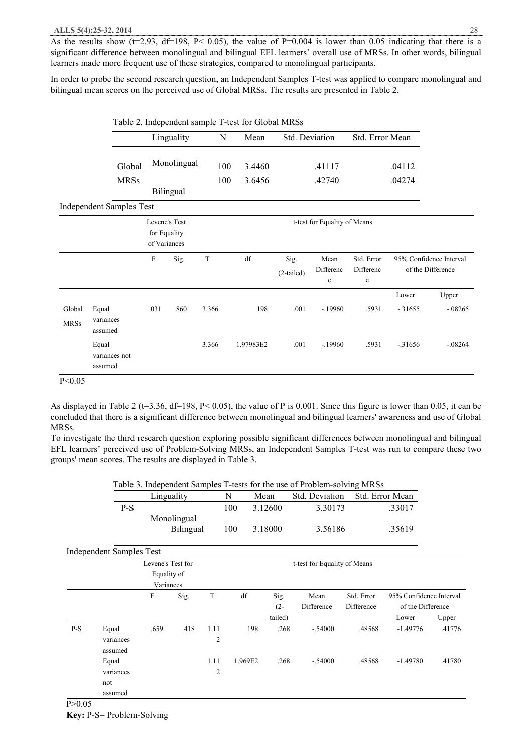As the results show ( $t=2.93$ ,  $df=198$ ,  $P< 0.05$ ), the value of  $P=0.004$  is lower than 0.05 indicating that there is a significant difference between monolingual and bilingual EFL learners' overall use of MRSs. In other words, bilingual learners made more frequent use of these strategies, compared to monolingual participants.

In order to probe the second research question, an Independent Samples T-test was applied to compare monolingual and bilingual mean scores on the perceived use of Global MRSs. The results are presented in Table 2.

|                       |                                   |                                               |             | Table 2. Independent sample T-test for Global MRSs<br>Std. Deviation<br>Std. Error Mean<br>N<br>Mean<br>3.4460<br>100<br>.41117<br>100<br>3.6456<br>.42740<br>t-test for Equality of Means<br>$\mathbf T$<br>df<br>Sig.<br>Mean<br>Std. Error<br>Differenc<br>Differenc<br>$(2-tailed)$<br>$\mathbf e$<br>e |           |      |           |       |          |                                              |
|-----------------------|-----------------------------------|-----------------------------------------------|-------------|-------------------------------------------------------------------------------------------------------------------------------------------------------------------------------------------------------------------------------------------------------------------------------------------------------------|-----------|------|-----------|-------|----------|----------------------------------------------|
|                       |                                   |                                               | Linguality  |                                                                                                                                                                                                                                                                                                             |           |      |           |       |          |                                              |
|                       | Global                            |                                               | Monolingual |                                                                                                                                                                                                                                                                                                             |           |      |           |       | .04112   |                                              |
|                       | <b>MRSs</b>                       |                                               | Bilingual   |                                                                                                                                                                                                                                                                                                             |           |      |           |       | .04274   |                                              |
|                       | <b>Independent Samples Test</b>   |                                               |             |                                                                                                                                                                                                                                                                                                             |           |      |           |       |          |                                              |
|                       |                                   | Levene's Test<br>for Equality<br>of Variances |             |                                                                                                                                                                                                                                                                                                             |           |      |           |       |          |                                              |
|                       |                                   | F                                             | Sig.        |                                                                                                                                                                                                                                                                                                             |           |      |           |       |          | 95% Confidence Interval<br>of the Difference |
|                       |                                   |                                               |             |                                                                                                                                                                                                                                                                                                             |           |      |           |       | Lower    | Upper                                        |
| Global<br><b>MRSs</b> | Equal<br>variances<br>assumed     | .031                                          | .860        | 3.366                                                                                                                                                                                                                                                                                                       | 198       | .001 | $-.19960$ | .5931 | $-31655$ | $-.08265$                                    |
|                       | Equal<br>variances not<br>assumed |                                               |             | 3.366                                                                                                                                                                                                                                                                                                       | 1.97983E2 | .001 | $-.19960$ | .5931 | $-31656$ | $-08264$                                     |

P<0.05

As displayed in Table 2 ( $t=3.36$ ,  $df=198$ ,  $P<0.05$ ), the value of P is 0.001. Since this figure is lower than 0.05, it can be concluded that there is a significant difference between monolingual and bilingual learners' awareness and use of Global MRSs.

To investigate the third research question exploring possible significant differences between monolingual and bilingual EFL learners' perceived use of Problem-Solving MRSs, an Independent Samples T-test was run to compare these two groups' mean scores. The results are displayed in Table 3.

|       |                                 | Table 3. Independent Samples T-tests for the use of Problem-solving MRSs |             |      |         |         |                |                         |                   |        |  |  |  |
|-------|---------------------------------|--------------------------------------------------------------------------|-------------|------|---------|---------|----------------|-------------------------|-------------------|--------|--|--|--|
|       |                                 | Linguality                                                               |             |      |         | Mean    | Std. Deviation |                         | Std. Error Mean   |        |  |  |  |
|       | $P-S$                           |                                                                          |             |      | 100     | 3.12600 | 3.30173        |                         | .33017            |        |  |  |  |
|       |                                 |                                                                          | Monolingual |      |         |         |                |                         |                   |        |  |  |  |
|       |                                 |                                                                          | Bilingual   |      | 100     | 3.18000 | 3.56186        |                         | .35619            |        |  |  |  |
|       | <b>Independent Samples Test</b> |                                                                          |             |      |         |         |                |                         |                   |        |  |  |  |
|       |                                 | Levene's Test for                                                        |             |      |         |         |                |                         |                   |        |  |  |  |
|       | Equality of                     |                                                                          |             |      |         |         |                |                         |                   |        |  |  |  |
|       |                                 | Variances                                                                |             |      |         |         |                |                         |                   |        |  |  |  |
|       | F<br>Sig.                       |                                                                          | T           | df   | Sig.    | Mean    | Std. Error     | 95% Confidence Interval |                   |        |  |  |  |
|       |                                 |                                                                          |             |      |         | $(2 -$  | Difference     | Difference              | of the Difference |        |  |  |  |
|       |                                 |                                                                          |             |      |         | tailed) |                |                         | Lower             | Upper  |  |  |  |
| $P-S$ | Equal                           | .659                                                                     | .418        | 1.11 | 198     | .268    | $-.54000$      | .48568                  | $-1.49776$        | .41776 |  |  |  |
|       | variances                       |                                                                          |             | 2    |         |         |                |                         |                   |        |  |  |  |
|       | assumed                         |                                                                          |             |      |         |         |                |                         |                   |        |  |  |  |
|       | Equal                           |                                                                          |             | 1.11 | 1.969E2 | .268    | $-.54000$      | .48568                  | $-1.49780$        | .41780 |  |  |  |
|       | variances                       |                                                                          |             | 2    |         |         |                |                         |                   |        |  |  |  |
|       | not                             |                                                                          |             |      |         |         |                |                         |                   |        |  |  |  |
|       | assumed                         |                                                                          |             |      |         |         |                |                         |                   |        |  |  |  |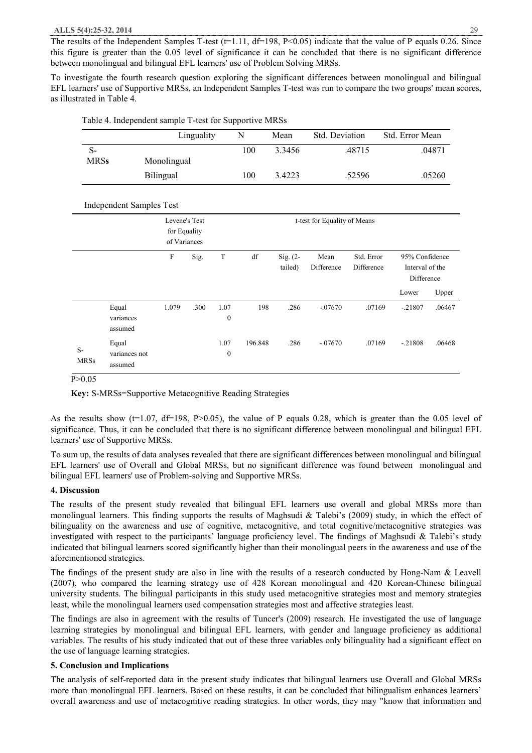The results of the Independent Samples T-test ( $t=1.11$ ,  $df=198$ ,  $P<0.05$ ) indicate that the value of P equals 0.26. Since this figure is greater than the 0.05 level of significance it can be concluded that there is no significant difference between monolingual and bilingual EFL learners' use of Problem Solving MRSs.

To investigate the fourth research question exploring the significant differences between monolingual and bilingual EFL learners' use of Supportive MRSs, an Independent Samples T-test was run to compare the two groups' mean scores, as illustrated in Table 4.

|                     |                                   |                                               | Linguality                   |                          | N       | Mean                | Std. Deviation     |                          |                                                 | Std. Error Mean |  |  |
|---------------------|-----------------------------------|-----------------------------------------------|------------------------------|--------------------------|---------|---------------------|--------------------|--------------------------|-------------------------------------------------|-----------------|--|--|
| $S-$<br><b>MRSs</b> |                                   | Monolingual                                   |                              |                          | 100     | 3.3456              |                    | .48715                   |                                                 | .04871          |  |  |
|                     |                                   | Bilingual                                     |                              |                          | 100     | 3.4223              |                    | .52596                   |                                                 | .05260          |  |  |
|                     | <b>Independent Samples Test</b>   |                                               |                              |                          |         |                     |                    |                          |                                                 |                 |  |  |
|                     |                                   | Levene's Test<br>for Equality<br>of Variances | t-test for Equality of Means |                          |         |                     |                    |                          |                                                 |                 |  |  |
|                     |                                   | $\mathbf F$                                   | Sig.                         | $\mathbf T$              | df      | Sig. (2-<br>tailed) | Mean<br>Difference | Std. Error<br>Difference | 95% Confidence<br>Interval of the<br>Difference |                 |  |  |
|                     |                                   |                                               |                              |                          |         |                     |                    |                          | Lower                                           | Upper           |  |  |
|                     | Equal<br>variances<br>assumed     | 1.079                                         | .300                         | 1.07<br>$\boldsymbol{0}$ | 198     | .286                | $-.07670$          | .07169                   | $-21807$                                        | .06467          |  |  |
| $S-$<br><b>MRSs</b> | Equal<br>variances not<br>assumed |                                               |                              | 1.07<br>$\boldsymbol{0}$ | 196.848 | .286                | $-.07670$          | .07169                   | $-21808$                                        | .06468          |  |  |

Table 4. Independent sample T-test for Supportive MRSs

P>0.05

**Key:** S-MRSs=Supportive Metacognitive Reading Strategies

As the results show ( $t=1.07$ ,  $df=198$ , P $>0.05$ ), the value of P equals 0.28, which is greater than the 0.05 level of significance. Thus, it can be concluded that there is no significant difference between monolingual and bilingual EFL learners' use of Supportive MRSs.

To sum up, the results of data analyses revealed that there are significant differences between monolingual and bilingual EFL learners' use of Overall and Global MRSs, but no significant difference was found between monolingual and bilingual EFL learners' use of Problem-solving and Supportive MRSs.

#### **4. Discussion**

The results of the present study revealed that bilingual EFL learners use overall and global MRSs more than monolingual learners. This finding supports the results of Maghsudi & Talebi's (2009) study, in which the effect of bilinguality on the awareness and use of cognitive, metacognitive, and total cognitive/metacognitive strategies was investigated with respect to the participants' language proficiency level. The findings of Maghsudi & Talebi's study indicated that bilingual learners scored significantly higher than their monolingual peers in the awareness and use of the aforementioned strategies.

The findings of the present study are also in line with the results of a research conducted by Hong-Nam & Leavell (2007), who compared the learning strategy use of 428 Korean monolingual and 420 Korean-Chinese bilingual university students. The bilingual participants in this study used metacognitive strategies most and memory strategies least, while the monolingual learners used compensation strategies most and affective strategies least.

The findings are also in agreement with the results of Tuncer's (2009) research. He investigated the use of language learning strategies by monolingual and bilingual EFL learners, with gender and language proficiency as additional variables. The results of his study indicated that out of these three variables only bilinguality had a significant effect on the use of language learning strategies.

#### **5. Conclusion and Implications**

The analysis of self-reported data in the present study indicates that bilingual learners use Overall and Global MRSs more than monolingual EFL learners. Based on these results, it can be concluded that bilingualism enhances learners' overall awareness and use of metacognitive reading strategies. In other words, they may "know that information and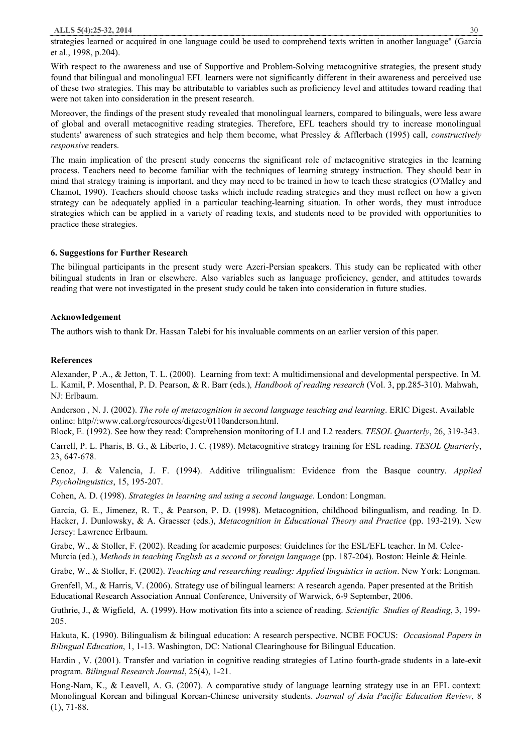strategies learned or acquired in one language could be used to comprehend texts written in another language" (Garcia et al., 1998, p.204).

With respect to the awareness and use of Supportive and Problem-Solving metacognitive strategies, the present study found that bilingual and monolingual EFL learners were not significantly different in their awareness and perceived use of these two strategies. This may be attributable to variables such as proficiency level and attitudes toward reading that were not taken into consideration in the present research.

Moreover, the findings of the present study revealed that monolingual learners, compared to bilinguals, were less aware of global and overall metacognitive reading strategies. Therefore, EFL teachers should try to increase monolingual students' awareness of such strategies and help them become, what Pressley & Afflerbach (1995) call, *constructively responsive* readers.

The main implication of the present study concerns the significant role of metacognitive strategies in the learning process. Teachers need to become familiar with the techniques of learning strategy instruction. They should bear in mind that strategy training is important, and they may need to be trained in how to teach these strategies (O'Malley and Chamot, 1990). Teachers should choose tasks which include reading strategies and they must reflect on how a given strategy can be adequately applied in a particular teaching-learning situation. In other words, they must introduce strategies which can be applied in a variety of reading texts, and students need to be provided with opportunities to practice these strategies.

## **6. Suggestions for Further Research**

The bilingual participants in the present study were Azeri-Persian speakers. This study can be replicated with other bilingual students in Iran or elsewhere. Also variables such as language proficiency, gender, and attitudes towards reading that were not investigated in the present study could be taken into consideration in future studies.

## **Acknowledgement**

The authors wish to thank Dr. Hassan Talebi for his invaluable comments on an earlier version of this paper.

## **References**

Alexander, P .A., & Jetton, T. L. (2000). Learning from text: A multidimensional and developmental perspective. In M. L. Kamil, P. Mosenthal, P. D. Pearson, & R. Barr (eds.)*, Handbook of reading research* (Vol. 3, pp.285-310). Mahwah, NJ: Erlbaum.

Anderson , N. J. (2002). *The role of metacognition in second language teaching and learning*. ERIC Digest. Available online: http//:www.cal.org/resources/digest/0110anderson.html.

Block, E. (1992). See how they read: Comprehension monitoring of L1 and L2 readers. *TESOL Quarterly*, 26, 319-343.

Carrell, P. L. Pharis, B. G., & Liberto, J. C. (1989). Metacognitive strategy training for ESL reading. *TESOL Quarterl*y, 23, 647-678.

Cenoz, J. & Valencia, J. F. (1994). Additive trilingualism: Evidence from the Basque country. *Applied Psycholinguistics*, 15, 195-207.

Cohen, A. D. (1998). *Strategies in learning and using a second language.* London: Longman.

Garcia, G. E., Jimenez, R. T., & Pearson, P. D. (1998). Metacognition, childhood bilingualism, and reading. In D. Hacker, J. Dunlowsky, & A. Graesser (eds.), *Metacognition in Educational Theory and Practice* (pp. 193-219). New Jersey: Lawrence Erlbaum.

Grabe, W., & Stoller, F. (2002). Reading for academic purposes: Guidelines for the ESL/EFL teacher. In M. Celce-Murcia (ed.), *Methods in teaching English as a second or foreign language* (pp. 187-204). Boston: Heinle & Heinle.

Grabe, W., & Stoller, F. (2002). *Teaching and researching reading: Applied linguistics in action*. New York: Longman.

Grenfell, M., & Harris, V. (2006). Strategy use of bilingual learners: A research agenda. Paper presented at the British Educational Research Association Annual Conference, University of Warwick, 6-9 September, 2006.

Guthrie, J., & Wigfield, A. (1999). How motivation fits into a science of reading. *Scientific Studies of Reading*, 3, 199- 205.

Hakuta, K. (1990). Bilingualism & bilingual education: A research perspective. NCBE FOCUS: *Occasional Papers in Bilingual Education*, 1, 1-13. Washington, DC: National Clearinghouse for Bilingual Education.

Hardin , V. (2001). Transfer and variation in cognitive reading strategies of Latino fourth-grade students in a late-exit program. *Bilingual Research Journal*, 25(4), 1-21.

Hong-Nam, K., & Leavell, A. G. (2007). A comparative study of language learning strategy use in an EFL context: Monolingual Korean and bilingual Korean-Chinese university students. *Journal of Asia Pacific Education Review*, 8  $(1), 71-88.$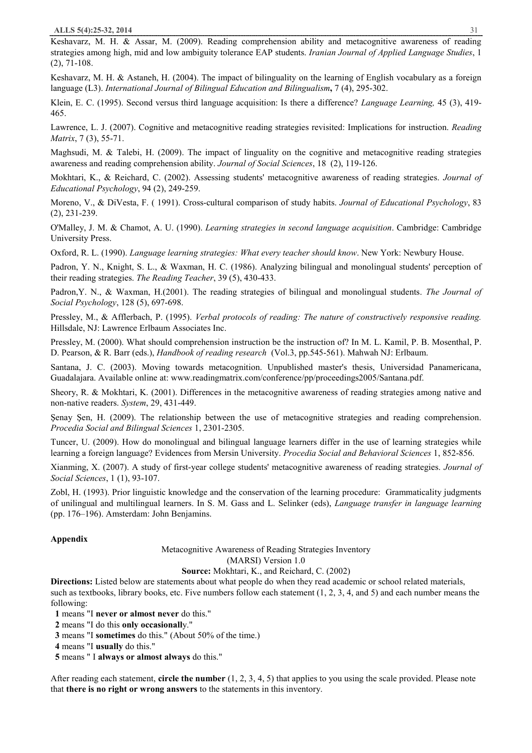Keshavarz, M. H. & Assar, M. (2009). Reading comprehension ability and metacognitive awareness of reading strategies among high, mid and low ambiguity tolerance EAP students. *Iranian Journal of Applied Language Studies*, 1 (2), 71-108.

Keshavarz, M. H. & Astaneh, H. (2004). The impact of bilinguality on the learning of English vocabulary as a foreign language (L3). *International Journal of Bilingual Education and Bilingualism***,** 7 (4), 295-302.

Klein, E. C. (1995). Second versus third language acquisition: Is there a difference? *Language Learning,* 45 (3), 419- 465.

Lawrence, L. J. (2007). Cognitive and metacognitive reading strategies revisited: Implications for instruction. *Reading Matrix*, 7 (3), 55-71.

Maghsudi, M. & Talebi, H. (2009). The impact of linguality on the cognitive and metacognitive reading strategies awareness and reading comprehension ability. *Journal of Social Sciences*, 18(2), 119-126.

Mokhtari, K., & Reichard, C. (2002). Assessing students' metacognitive awareness of reading strategies. *Journal of Educational Psychology*, 94 (2), 249-259.

Moreno, V., & DiVesta, F. ( 1991). Cross-cultural comparison of study habits. *Journal of Educational Psychology*, 83 (2), 231-239.

O'Malley, J. M. & Chamot, A. U. (1990). *Learning strategies in second language acquisition*. Cambridge: Cambridge University Press.

Oxford, R. L. (1990). *Language learning strategies: What every teacher should know*. New York: Newbury House.

Padron, Y. N., Knight, S. L., & Waxman, H. C. (1986). Analyzing bilingual and monolingual students' perception of their reading strategies. *The Reading Teacher*, 39 (5), 430-433.

Padron,Y. N., & Waxman, H.(2001). The reading strategies of bilingual and monolingual students. *The Journal of Social Psychology*, 128 (5), 697-698.

Pressley, M., & Afflerbach, P. (1995). *Verbal protocols of reading: The nature of constructively responsive reading.* Hillsdale, NJ: Lawrence Erlbaum Associates Inc.

Pressley, M. (2000). What should comprehension instruction be the instruction of? In M. L. Kamil, P. B. Mosenthal, P. D. Pearson, & R. Barr (eds.), *Handbook of reading research* (Vol.3, pp.545-561). Mahwah NJ: Erlbaum.

Santana, J. C. (2003). Moving towards metacognition. Unpublished master's thesis, Universidad Panamericana, Guadalajara. Available online at: www.readingmatrix.com/conference/pp/proceedings2005/Santana.pdf.

Sheory, R. & Mokhtari, K. (2001). Differences in the metacognitive awareness of reading strategies among native and non-native readers. *System*, 29, 431-449.

Şenay Şen, H. (2009). The relationship between the use of metacognitive strategies and reading comprehension. *Procedia Social and Bilingual Sciences* 1, 2301-2305.

Tuncer, U. (2009). How do monolingual and bilingual language learners differ in the use of learning strategies while learning a foreign language? Evidences from Mersin University. *Procedia Social and Behavioral Sciences* 1, 852-856.

Xianming, X. (2007). A study of first-year college students' metacognitive awareness of reading strategies. *Journal of Social Sciences*, 1 (1), 93-107.

Zobl, H. (1993). Prior linguistic knowledge and the conservation of the learning procedure: Grammaticality judgments of unilingual and multilingual learners. In S. M. Gass and L. Selinker (eds), *Language transfer in language learning* (pp. 176–196). Amsterdam: John Benjamins.

#### **Appendix**

Metacognitive Awareness of Reading Strategies Inventory (MARSI) Version 1.0

**Source:** Mokhtari, K., and Reichard, C. (2002)

**Directions:** Listed below are statements about what people do when they read academic or school related materials, such as textbooks, library books, etc. Five numbers follow each statement  $(1, 2, 3, 4,$  and 5) and each number means the following:

 **1** means "I **never or almost never** do this."

 **2** means "I do this **only occasionall**y."

**3** means "I **sometimes** do this." (About 50% of the time.)

 **4** means "I **usually** do this."

 **5** means " I **always or almost always** do this."

After reading each statement, **circle the number** (1, 2, 3, 4, 5) that applies to you using the scale provided. Please note that **there is no right or wrong answers** to the statements in this inventory.